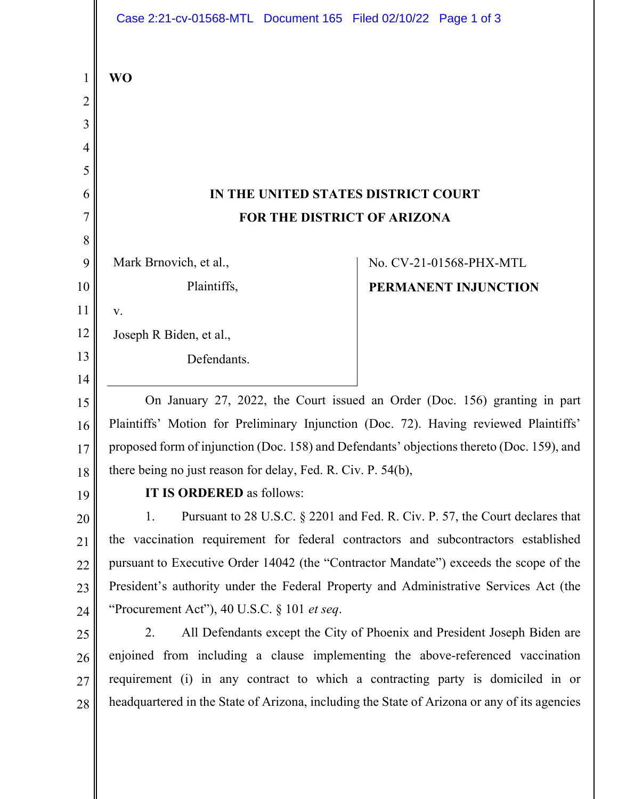|                   | Case 2:21-cv-01568-MTL Document 165 Filed 02/10/22 Page 1 of 3                                                                                                                    |                         |
|-------------------|-----------------------------------------------------------------------------------------------------------------------------------------------------------------------------------|-------------------------|
| $\mathbf{1}$<br>2 | <b>WO</b>                                                                                                                                                                         |                         |
| 3                 |                                                                                                                                                                                   |                         |
| 4                 |                                                                                                                                                                                   |                         |
| 5                 |                                                                                                                                                                                   |                         |
| 6                 | IN THE UNITED STATES DISTRICT COURT                                                                                                                                               |                         |
| 7                 | FOR THE DISTRICT OF ARIZONA                                                                                                                                                       |                         |
| 8                 |                                                                                                                                                                                   |                         |
| 9                 | Mark Brnovich, et al.,                                                                                                                                                            | No. CV-21-01568-PHX-MTL |
| 10                | Plaintiffs,                                                                                                                                                                       | PERMANENT INJUNCTION    |
| 11                | V.                                                                                                                                                                                |                         |
| 12                | Joseph R Biden, et al.,                                                                                                                                                           |                         |
| 13                | Defendants.                                                                                                                                                                       |                         |
| 14                |                                                                                                                                                                                   |                         |
| 15                | On January 27, 2022, the Court issued an Order (Doc. 156) granting in part                                                                                                        |                         |
| 16                | Plaintiffs' Motion for Preliminary Injunction (Doc. 72). Having reviewed Plaintiffs'<br>proposed form of injunction (Doc. 158) and Defendants' objections thereto (Doc. 159), and |                         |
| 17                | there being no just reason for delay, Fed. R. Civ. P. 54(b),                                                                                                                      |                         |
| 18                | IT IS ORDERED as follows:                                                                                                                                                         |                         |
| 19                | Pursuant to 28 U.S.C. § 2201 and Fed. R. Civ. P. 57, the Court declares that<br>1.                                                                                                |                         |
| 20                | the vaccination requirement for federal contractors and subcontractors established                                                                                                |                         |
| 21<br>22          | pursuant to Executive Order 14042 (the "Contractor Mandate") exceeds the scope of the                                                                                             |                         |
| 23                | President's authority under the Federal Property and Administrative Services Act (the                                                                                             |                         |
| 24                | "Procurement Act"), 40 U.S.C. $\S$ 101 <i>et seq.</i>                                                                                                                             |                         |
| 25                | All Defendants except the City of Phoenix and President Joseph Biden are<br>2.                                                                                                    |                         |
| 26                | enjoined from including a clause implementing the above-referenced vaccination                                                                                                    |                         |
| 27                | requirement (i) in any contract to which a contracting party is domiciled in or                                                                                                   |                         |
| 28                | headquartered in the State of Arizona, including the State of Arizona or any of its agencies                                                                                      |                         |
|                   |                                                                                                                                                                                   |                         |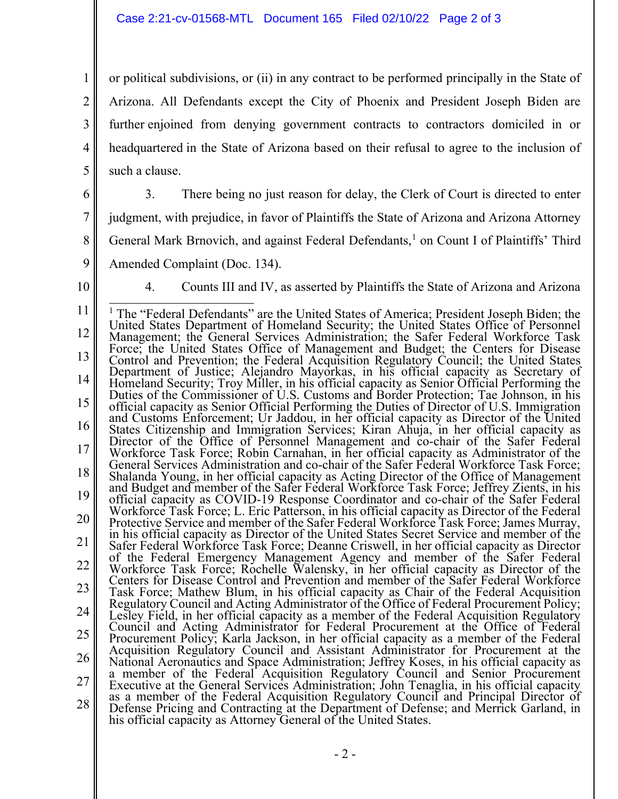1 2 3 4 5 or political subdivisions, or (ii) in any contract to be performed principally in the State of Arizona. All Defendants except the City of Phoenix and President Joseph Biden are further enjoined from denying government contracts to contractors domiciled in or headquartered in the State of Arizona based on their refusal to agree to the inclusion of such a clause.

6

3. There being no just reason for delay, the Clerk of Court is directed to enter

7 judgment, with prejudice, in favor of Plaintiffs the State of Arizona and Arizona Attorney

8 General Mark Brnovich, and against Federal Defendants,<sup>1</sup> on Count I of Plaintiffs' Third

9

Amended Complaint (Doc. 134).

10

4. Counts III and IV, as asserted by Plaintiffs the State of Arizona and Arizona

<sup>11</sup>  12 13 14 15 16 17 18 19 20 21 22 23 24 25 26 27 28 <sup>1</sup> The "Federal Defendants" are the United States of America; President Joseph Biden; the United States Department of Homeland Security; the United States Office of Personnel Management; the General Services Administration; the Safer Federal Workforce Task Force; the United States Office of Management and Budget; the Centers for Disease Control and Prevention; the Federal Acquisition Regulatory Council; the United States Department of Justice; Alejandro Mayorkas, in his official capacity as Secretary of Homeland Security; Troy Miller, in his official capacity as Senior Official Performing the Duties of the Commissioner of U.S. Customs and Border Protection; Tae Johnson, in his official capacity as Senior Official Performing the Duties of Director of U.S. Immigration and Customs Enforcement; Ur Jaddou, in her official capacity as Director of the United States Citizenship and Immigration Services; Kiran Ahuja, in her official capacity as Director of the Office of Personnel Management and co-chair of the Safer Federal Workforce Task Force; Robin Carnahan, in her official capacity as Administrator of the General Services Administration and co-chair of the Safer Federal Workforce Task Force; Shalanda Young, in her official capacity as Acting Director of the Office of Management and Budget and member of the Safer Federal Workforce Task Force; Jeffrey Zients, in his official capacity as COVID-19 Response Coordinator and co-chair of the Safer Federal Workforce Task Force; L. Eric Patterson, in his official capacity as Director of the Federal Protective Service and member of the Safer Federal Workforce Task Force; James Murray, in his official capacity as Director of the United States Secret Service and member of the Safer Federal Workforce Task Force; Deanne Criswell, in her official capacity as Director of the Federal Emergency Management Agency and member of the Safer Federal Workforce Task Force; Rochelle Walensky, in her official capacity as Director of the Centers for Disease Control and Prevention and member of the Safer Federal Workforce Task Force; Mathew Blum, in his official capacity as Chair of the Federal Acquisition Regulatory Council and Acting Administrator of the Office of Federal Procurement Policy; Lesley Field, in her official capacity as a member of the Federal Acquisition Regulatory Council and Acting Administrator for Federal Procurement at the Office of Federal Procurement Policy; Karla Jackson, in her official capacity as a member of the Federal Acquisition Regulatory Council and Assistant Administrator for Procurement at the National Aeronautics and Space Administration; Jeffrey Koses, in his official capacity as a member of the Federal Acquisition Regulatory Council and Senior Procurement Executive at the General Services Administration; John Tenaglia, in his official capacity as a member of the Federal Acquisition Regulatory Council and Principal Director of Defense Pricing and Contracting at the Department of Defense; and Merrick Garland, in his official capacity as Attorney General of the United States.